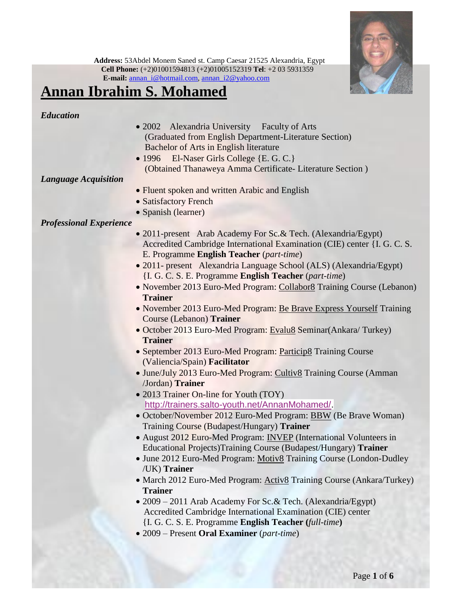

## **Annan Ibrahim S. Mohamed**

#### *Education*

- 2002 Alexandria University Faculty of Arts (Graduated from English Department-Literature Section) Bachelor of Arts in English literature
- 1996 El-Naser Girls College {E. G. C.} (Obtained Thanaweya Amma Certificate- Literature Section )

#### *Language Acquisition*

- Fluent spoken and written Arabic and English
- Satisfactory French
- Spanish (learner)

### *Professional Experience*

- 2011-present Arab Academy For Sc. & Tech. (Alexandria/Egypt) Accredited Cambridge International Examination (CIE) center {I. G. C. S. E. Programme **English Teacher** (*part-time*)
- 2011- present Alexandria Language School (ALS) (Alexandria/Egypt) {I. G. C. S. E. Programme **English Teacher** (*part-time*)
- November 2013 Euro-Med Program: Collabor8 Training Course (Lebanon) **Trainer**
- November 2013 Euro-Med Program: Be Brave Express Yourself Training Course (Lebanon) **Trainer**
- October 2013 Euro-Med Program: Evalu8 Seminar(Ankara/ Turkey) **Trainer**
- September 2013 Euro-Med Program: Particip8 Training Course (Valiencia/Spain) **Facilitator**
- June/July 2013 Euro-Med Program: Cultiv8 Training Course (Amman /Jordan) **Trainer**
- 2013 Trainer On-line for Youth (TOY) [http://trainers.salto-youth.net/AnnanMohamed/.](http://trainers.salto-youth.net/AnnanMohamed/)
- October/November 2012 Euro-Med Program: BBW (Be Brave Woman) Training Course (Budapest/Hungary) **Trainer**
- August 2012 Euro-Med Program: INVEP (International Volunteers in Educational Projects)Training Course (Budapest/Hungary) **Trainer**
- June 2012 Euro-Med Program: Motiv8 Training Course (London-Dudley /UK) **Trainer**
- March 2012 Euro-Med Program: Activ8 Training Course (Ankara/Turkey) **Trainer**
- 2009 2011 Arab Academy For Sc.& Tech. (Alexandria/Egypt) Accredited Cambridge International Examination (CIE) center {I. G. C. S. E. Programme **English Teacher (***full-time***)**
- 2009 Present **Oral Examiner** (*part-time*)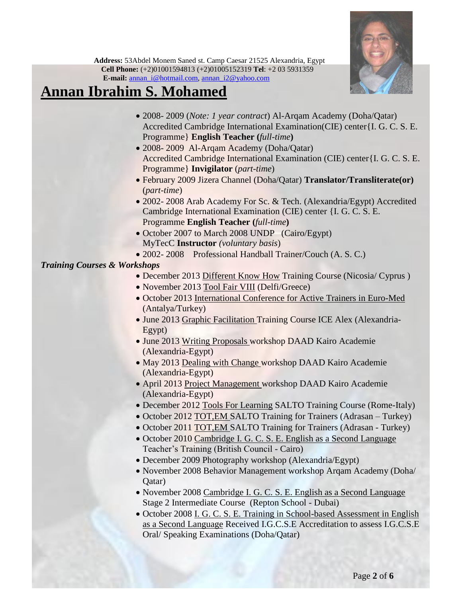

# **Annan Ibrahim S. Mohamed**

- 2008- 2009 (*Note: 1 year contract*) Al-Arqam Academy (Doha/Qatar) Accredited Cambridge International Examination(CIE) center{I. G. C. S. E. Programme} **English Teacher (***full-time***)**
- 2008- 2009 Al-Arqam Academy (Doha/Qatar) Accredited Cambridge International Examination (CIE) center{I. G. C. S. E. Programme} **Invigilator** (*part-time*)
- February 2009 Jizera Channel (Doha/Qatar) **Translator/Transliterate(or)**  (*part-time*)
- 2002- 2008 Arab Academy For Sc. & Tech. (Alexandria/Egypt) Accredited Cambridge International Examination (CIE) center {I. G. C. S. E. Programme **English Teacher (***full-time***)**
- October 2007 to March 2008 UNDP (Cairo/Egypt) MyTecC **Instructor** *(voluntary basis*)
- 2002- 2008 Professional Handball Trainer/Couch (A. S. C.)

### *Training Courses & Workshops*

- December 2013 Different Know How Training Course (Nicosia/ Cyprus )
- November 2013 Tool Fair VIII (Delfi/Greece)
- October 2013 International Conference for Active Trainers in Euro-Med (Antalya/Turkey)
- June 2013 Graphic Facilitation Training Course ICE Alex (Alexandria-Egypt)
- June 2013 Writing Proposals workshop DAAD Kairo Academie (Alexandria-Egypt)
- May 2013 Dealing with Change workshop DAAD Kairo Academie (Alexandria-Egypt)
- April 2013 Project Management workshop DAAD Kairo Academie (Alexandria-Egypt)
- December 2012 Tools For Learning SALTO Training Course (Rome-Italy)
- October 2012 TOT, EM SALTO Training for Trainers (Adrasan Turkey)
- October 2011 TOT, EM SALTO Training for Trainers (Adrasan Turkey)
- October 2010 Cambridge I. G. C. S. E. English as a Second Language Teacher's Training (British Council - Cairo)
- December 2009 Photography workshop (Alexandria/Egypt)
- November 2008 Behavior Management workshop Arqam Academy (Doha/ Qatar)
- November 2008 Cambridge I. G. C. S. E. English as a Second Language Stage 2 Intermediate Course (Repton School - Dubai)
- October 2008 I. G. C. S. E. Training in School-based Assessment in English as a Second Language Received I.G.C.S.E Accreditation to assess I.G.C.S.E Oral/ Speaking Examinations (Doha/Qatar)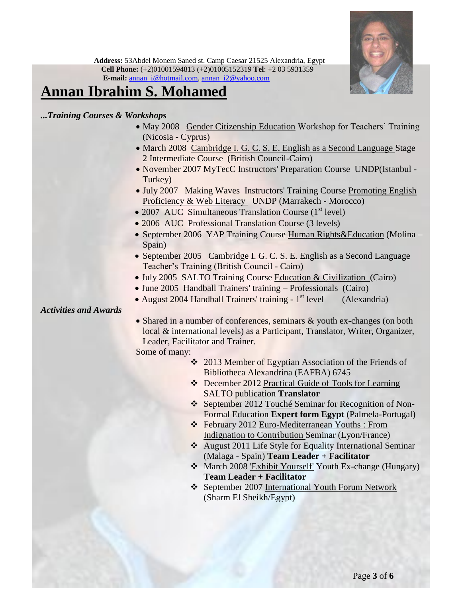

## **Annan Ibrahim S. Mohamed**

*...Training Courses & Workshops*

- May 2008 Gender Citizenship Education Workshop for Teachers' Training (Nicosia - Cyprus)
- March 2008 Cambridge I. G. C. S. E. English as a Second Language Stage 2 Intermediate Course (British Council-Cairo)
- November 2007 MyTecC Instructors' Preparation Course UNDP(Istanbul -Turkey)
- July 2007 Making Waves Instructors' Training Course Promoting English Proficiency & Web Literacy UNDP (Marrakech - Morocco)
- 2007 AUC Simultaneous Translation Course  $(1<sup>st</sup> level)$
- 2006 AUC Professional Translation Course (3 levels)
- September 2006 YAP Training Course Human Rights & Education (Molina Spain)
- September 2005 Cambridge I. G. C. S. E. English as a Second Language Teacher's Training (British Council - Cairo)
- July 2005 SALTO Training Course Education & Civilization (Cairo)
- June 2005 Handball Trainers' training Professionals (Cairo)
- August 2004 Handball Trainers' training 1<sup>st</sup> level (Alexandria)

*Activities and Awards*

• Shared in a number of conferences, seminars & youth ex-changes (on both local & international levels) as a Participant, Translator, Writer, Organizer, Leader, Facilitator and Trainer.

Some of many:

- 2013 Member of Egyptian Association of the Friends of Bibliotheca Alexandrina (EAFBA) 6745
- December 2012 Practical Guide of Tools for Learning SALTO publication **Translator**
- September 2012 Touché Seminar for Recognition of Non-Formal Education **Expert form Egypt** (Palmela-Portugal)
- February 2012 Euro-Mediterranean Youths : From Indignation to Contribution Seminar (Lyon/France)
- August 2011 Life Style for Equality International Seminar (Malaga - Spain) **Team Leader + Facilitator**
- March 2008 'Exhibit Yourself' Youth Ex-change (Hungary) **Team Leader + Facilitator**
- September 2007 International Youth Forum Network (Sharm El Sheikh/Egypt)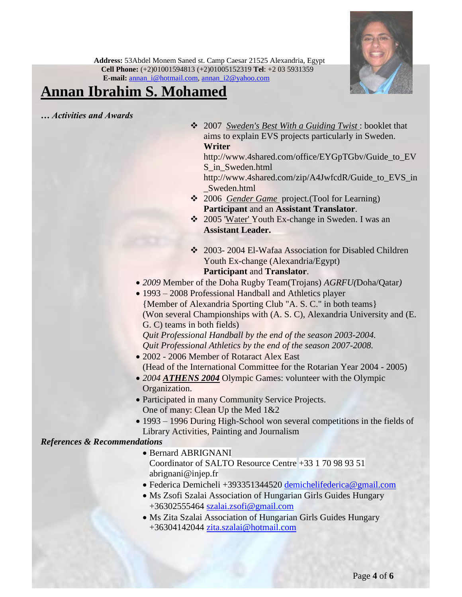

# **Annan Ibrahim S. Mohamed**

*… Activities and Awards*

 2007 *Sweden's Best With a Guiding Twist* : booklet that aims to explain EVS projects particularly in Sweden. **Writer**

http://www.4shared.com/office/EYGpTGbv/Guide\_to\_EV S\_in\_Sweden.html

http://www.4shared.com/zip/A4JwfcdR/Guide\_to\_EVS\_in \_Sweden.html

- 2006 *Gender Game* project.(Tool for Learning) **Participant** and an **Assistant Translator**.
- 2005 'Water' Youth Ex-change in Sweden. I was an **Assistant Leader.**
- ❖ 2003- 2004 El-Wafaa Association for Disabled Children Youth Ex-change (Alexandria/Egypt) **Participant** and **Translator**.
- *2009* Member of the Doha Rugby Team(Trojans) *AGRFU(*Doha/Qatar*)*
- 1993 2008 Professional Handball and Athletics player {Member of Alexandria Sporting Club "A. S. C." in both teams} (Won several Championships with (A. S. C), Alexandria University and (E. G. C) teams in both fields)

*Quit Professional Handball by the end of the season 2003-2004. Quit Professional Athletics by the end of the season 2007-2008.*

- 2002 2006 Member of Rotaract Alex East (Head of the International Committee for the Rotarian Year 2004 - 2005)
- 2004 **ATHENS 2004** Olympic Games: volunteer with the Olympic Organization.
- Participated in many Community Service Projects. One of many: Clean Up the Med 1&2
- 1993 1996 During High-School won several competitions in the fields of Library Activities, Painting and Journalism

#### *References & Recommendations*

- Bernard ABRIGNANI Coordinator of SALTO Resource Centre +33 1 70 98 93 51 abrignani@injep.fr
- Federica Demicheli +393351344520 [demichelifederica@gmail.com](mailto:demichelifederica@gmail.com)
- Ms Zsofi Szalai Association of Hungarian Girls Guides Hungary +36302555464 [szalai.zsofi@gmail.com](mailto:szalai.zsofi@gmail.com)
- Ms Zita Szalai Association of Hungarian Girls Guides Hungary +36304142044 [zita.szalai@hotmail.com](mailto:zita.szalai@hotmail.com)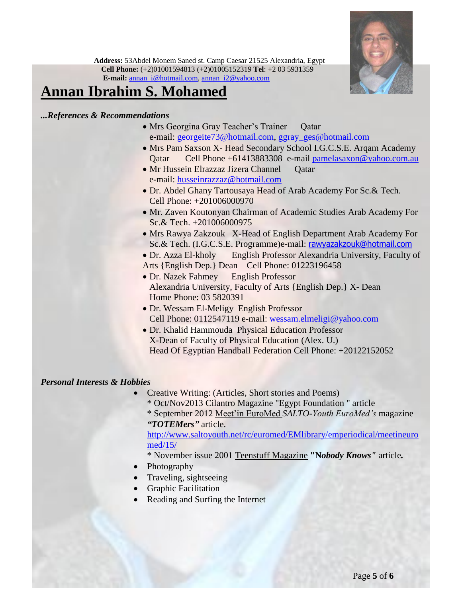

## **Annan Ibrahim S. Mohamed**

### *...References & Recommendations*

- Mrs Georgina Gray Teacher's Trainer Qatar e-mail: [georgeite73@hotmail.com,](mailto:georgeite73@hotmail.com) [ggray\\_ges@hotmail.com](mailto:ggray_ges@hotmail.com)
- Mrs Pam Saxson X- Head Secondary School I.G.C.S.E. Arqam Academy Qatar Cell Phone +61413883308 e-mail [pamelasaxon@yahoo.com.au](mailto:pamelasaxon@yahoo.com.au)
- Mr Hussein Elrazzaz Jizera Channel Oatar e-mail: [husseinrazzaz@hotmail.com](mailto:husseinrazzaz@hotmail.com)
- Dr. Abdel Ghany Tartousaya Head of Arab Academy For Sc.& Tech. Cell Phone: +201006000970
- Mr. Zaven Koutonyan Chairman of Academic Studies Arab Academy For Sc.& Tech. +201006000975
- Mrs Rawya Zakzouk X-Head of English Department Arab Academy For Sc.& Tech. (I.G.C.S.E. Programme)e-mail: [rawyazakzouk@hotmail.com](mailto:rawyazakzouk@hotmail.com)
- Dr. Azza El-kholy English Professor Alexandria University, Faculty of Arts {English Dep.} Dean Cell Phone: 01223196458
- Dr. Nazek Fahmey English Professor Alexandria University, Faculty of Arts {English Dep.} X- Dean Home Phone: 03 5820391
- Dr. Wessam El-Meligy English Professor Cell Phone: 0112547119 e-mail: [wessam.elmeligi@yahoo.com](mailto:wessam.elmeligi@yahoo.com)
- Dr. Khalid Hammouda Physical Education Professor X-Dean of Faculty of Physical Education (Alex. U.) Head Of Egyptian Handball Federation Cell Phone: +20122152052

### *Personal Interests & Hobbies*

- Creative Writing: (Articles, Short stories and Poems)
	- \* Oct/Nov2013 Cilantro Magazine "Egypt Foundation " article \* September 2012 Meet'in EuroMed *SALTO-Youth EuroMed's* magazine *"TOTEMers"* article.

[http://www.saltoyouth.net/rc/euromed/EMlibrary/emperiodical/meetineuro](http://www.saltoyouth.net/rc/euromed/EMlibrary/emperiodical/meetineuromed/15/) [med/15/](http://www.saltoyouth.net/rc/euromed/EMlibrary/emperiodical/meetineuromed/15/)

- \* November issue 2001 Teenstuff Magazine **"N***obody Knows"* article*.*
- Photography
- Traveling, sightseeing
- Graphic Facilitation
- Reading and Surfing the Internet